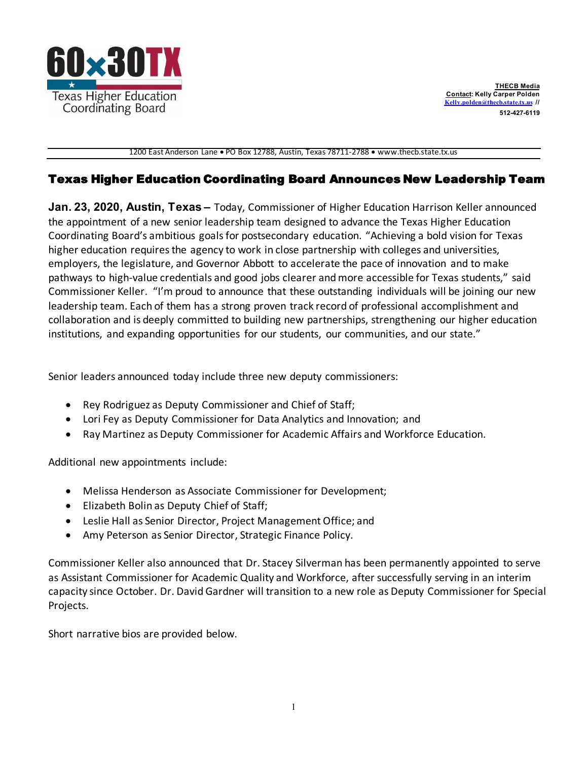

1200 East Anderson Lane • PO Box 12788, Austin, Texas 78711-2788 • [www.thecb.state.tx.us](http://www.thecb.state.tx.us/)

## Texas Higher Education Coordinating Board Announces New Leadership Team

**Jan. 23, 2020, Austin, Texas –** Today, Commissioner of Higher Education Harrison Keller announced the appointment of a new senior leadership team designed to advance the Texas Higher Education Coordinating Board's ambitious goalsfor postsecondary education. "Achieving a bold vision for Texas higher education requires the agency to work in close partnership with colleges and universities, employers, the legislature, and Governor Abbott to accelerate the pace of innovation and to make pathways to high-value credentials and good jobs clearer and more accessible for Texas students," said Commissioner Keller. "I'm proud to announce that these outstanding individuals will be joining our new leadership team. Each of them has a strong proven track record of professional accomplishment and collaboration and is deeply committed to building new partnerships, strengthening our higher education institutions, and expanding opportunities for our students, our communities, and our state."

Senior leaders announced today include three new deputy commissioners:

- Rey Rodriguez as Deputy Commissioner and Chief of Staff;
- Lori Fey as Deputy Commissioner for Data Analytics and Innovation; and
- Ray Martinez as Deputy Commissioner for Academic Affairs and Workforce Education.

Additional new appointments include:

- Melissa Henderson as Associate Commissioner for Development;
- Elizabeth Bolin as Deputy Chief of Staff;
- Leslie Hall as Senior Director, Project Management Office; and
- Amy Peterson as Senior Director, Strategic Finance Policy.

Commissioner Keller also announced that Dr. Stacey Silverman has been permanently appointed to serve as Assistant Commissioner for Academic Quality and Workforce, after successfully serving in an interim capacity since October. Dr. David Gardner will transition to a new role as Deputy Commissioner for Special Projects.

Short narrative bios are provided below.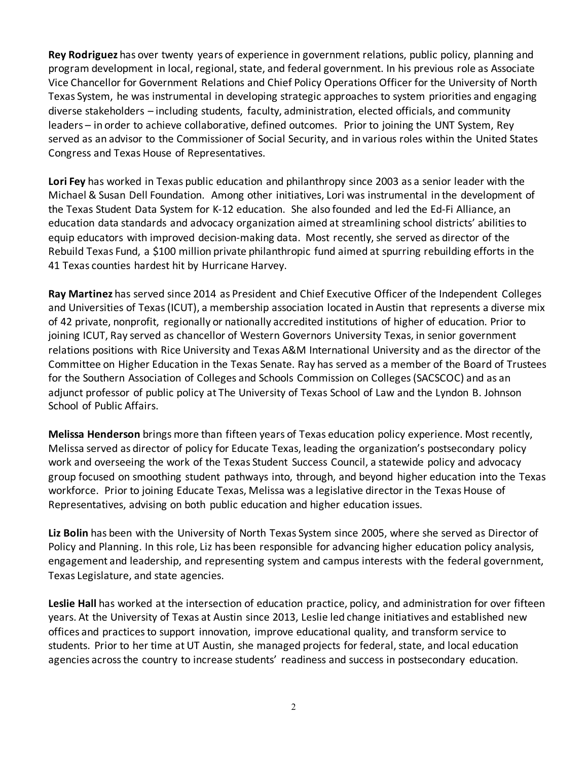**Rey Rodriguez** has over twenty years of experience in government relations, public policy, planning and program development in local, regional, state, and federal government. In his previous role as Associate Vice Chancellor for Government Relations and Chief Policy Operations Officer for the University of North Texas System, he was instrumental in developing strategic approaches to system priorities and engaging diverse stakeholders – including students, faculty, administration, elected officials, and community leaders – in order to achieve collaborative, defined outcomes. Prior to joining the UNT System, Rey served as an advisor to the Commissioner of Social Security, and in various roles within the United States Congress and Texas House of Representatives.

**Lori Fey** has worked in Texas public education and philanthropy since 2003 as a senior leader with the Michael & Susan Dell Foundation. Among other initiatives, Lori was instrumental in the development of the Texas [Student](https://www.texasstudentdatasystem.org/) Data System for K-12 education. She also founded and led the Ed-Fi Alliance, an education data standards and advocacy organization aimed at streamlining school districts' abilitiesto equip educators with improved decision-making data. Most recently, she served as director of the [Rebuild](https://www.rebuildtx.org/) Texas Fund, a \$100 million private philanthropic fund aimed at spurring rebuilding efforts in the 41 Texas counties hardest hit by Hurricane Harvey.

**Ray Martinez** has served since 2014 as President and Chief Executive Officer of the Independent Colleges and Universities of Texas (ICUT), a membership association located in Austin that represents a diverse mix of 42 private, nonprofit, regionally or nationally accredited institutions of higher of education. Prior to joining ICUT, Ray served as chancellor of Western Governors University Texas, in senior government relations positions with Rice University and Texas A&M International University and as the director of the Committee on Higher Education in the Texas Senate. Ray has served as a member of the Board of Trustees for the Southern Association of Colleges and Schools Commission on Colleges(SACSCOC) and as an adjunct professor of public policy at The University of Texas School of Law and the Lyndon B. Johnson School of Public Affairs.

**Melissa Henderson** brings more than fifteen years of Texas education policy experience. Most recently, Melissa served as director of policy for Educate Texas, leading the organization's postsecondary policy work and overseeing the work of the Texas Student Success Council, a statewide policy and advocacy group focused on smoothing student pathways into, through, and beyond higher education into the Texas workforce. Prior to joining Educate Texas, Melissa was a legislative director in the Texas House of Representatives, advising on both public education and higher education issues.

**Liz Bolin** has been with the University of North Texas System since 2005, where she served as Director of Policy and Planning. In this role, Liz has been responsible for advancing higher education policy analysis, engagement and leadership, and representing system and campus interests with the federal government, Texas Legislature, and state agencies.

**Leslie Hall** has worked at the intersection of education practice, policy, and administration for over fifteen years. At the University of Texas at Austin since 2013, Leslie led change initiatives and established new offices and practices to support innovation, improve educational quality, and transform service to students. Prior to her time at UT Austin, she managed projects for federal, state, and local education agencies acrossthe country to increase students' readiness and success in postsecondary education.